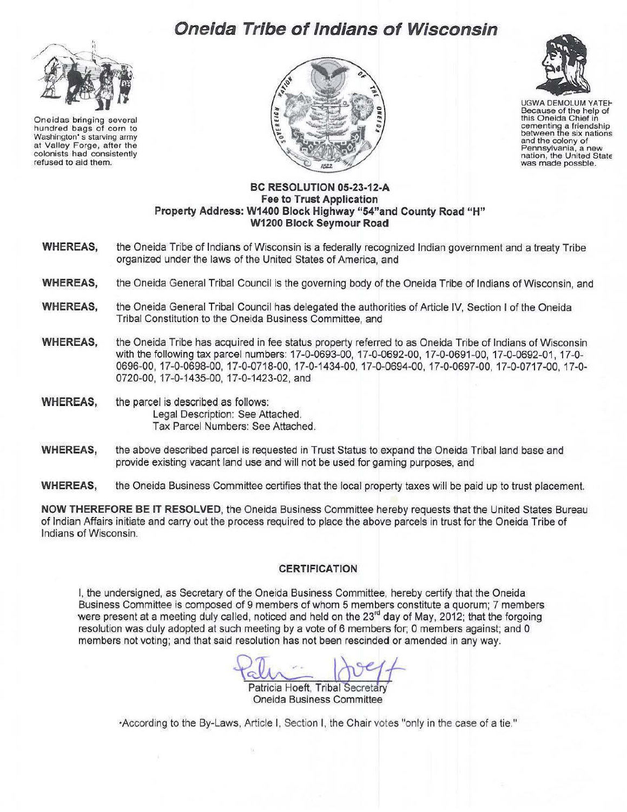# **Oneida Tribe of Indians of Wisconsin**



Oneidas bringing several hundred bags of corn to Washington' s starving army at Valley Forge, after the colonists had consistently refused to aid them.





UGWA DEMOLUM YATEH Because of the help of this Oneida Chief in cementing a friendship between the six nations and the colony of Pennsylvania, a new<br>nation, the United State<br>was made possble.

### **BC RESOLUTION 05-23-12-A Fee to Trust Application Property Address: W1400 Block Highway "54"and County Road "H" W1200 Block Seymour Road**

- **WHEREAS,** the Oneida Tribe of Indians of Wisconsin is a federally recognized Indian government and a treaty Tribe organized under the laws of the United States of America, and
- **WHEREAS,** the Oneida General Tribal Council is the governing body of the Oneida Tribe of Indians of Wisconsin, and
- **WHEREAS,** the Oneida General Tribal Council has delegated the authorities of Article IV, Section I of the Oneida Tribal Constitution to the Oneida Business Committee, and
- **WHEREAS,** the Oneida Tribe has acquired in fee status property referred to as Oneida Tribe of Indians of Wisconsin with the following tax parcel numbers: 17-0-0693-00, 17-0-0692-00, 17-0-0691-00, 17-0-0692-01, 17-0- 0696-00, 17-0-0698-00, 17-0-0718-00, 17-0-1434-00, 17-0-0694-00, 17-0-0697-00, 17-0-0717-00, 17-0- 0720-00, 17-0-1435-00, 17-0-1423-02, and
- **WHEREAS,** the parcel is described as follows: Legal Description: See Attached. Tax Parcel Numbers: See Attached.
- **WHEREAS,** the above described parcel is requested in Trust Status to expand the Oneida Tribal land base and provide existing vacant land use and will not be used for gaming purposes, and
- **WHEREAS,** the Oneida Business Committee certifies that the local property taxes will be paid up to trust placement.

**NOW THEREFORE BE IT RESOLVED,** the Oneida Business Committee hereby requests that the United States Bureau of Indian Affairs initiate and carry out the process required to place the above parcels in trust for the Oneida Tribe of Indians of Wisconsin.

#### **CERTIFICATION**

I, the undersigned, as Secretary of the Oneida Business Committee, hereby certify that the Oneida Business Committee is composed of 9 members of whom 5 members constitute a quorum; 7 members were present at a meeting duly called, noticed and held on the 23<sup>rd</sup> day of May, 2012; that the forgoing resolution was duly adopted at such meeting by a vote of 6 members for; 0 members against; and 0 members not voting; and that said resolution has not been rescinded or amended in any way.

Patricia Hoeft, Tribal Secretary Oneida Business Committee

·According to the By-Laws, Article I, Section I, the Chair votes "only in the case of a tie."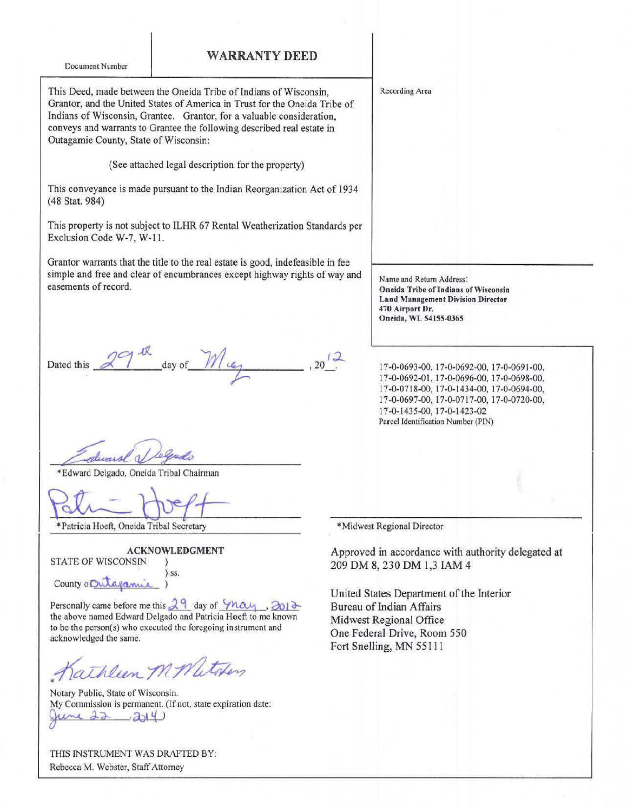## WARRANTY DEED

Document Number

This Deed, made between the Oneida Tribe of Indians of Wisconsin, Grantor, and the United States of America in Trust for the Oneida Tribe of Indians of Wisconsin, Grantee. Grantor, for a valuable consideration, conveys and warrants to Grantee the following described real estate in Outagamie County, State of Wisconsin:

(See attached legal description for the property)

This conveyance is made pursuant to the Indian Reorganization Act of 1934 ( 48 Stat. 984)

This property is not subject to ILHR 67 Rental Weatherization Standards per Exclusion Code W-7, W-11.

Grantor warrants that the title to the real estate is good, indefeasible in fee simple and free and clear of encumbrances except highway rights of way and easements of record.

Dated this  $29$ <sup>th</sup> day of  $11\frac{1}{9}$  $\sqrt{2}$  $, 20$  .

\*Edward Delgado, Oneida Tribal Chairman

\*Patricia Hoeft, Oneida Tribal Secretary \*Midwest Regional Director

ACKNOWLEDGMENT STATE OF WISCONSIN ) ) ss. County of Outagamic

Personally came before me this  $2<sup>9</sup>$  day of  $-$ *May*,  $\partial$ 01<sup>3</sup> the above named Edward Delgado and Patricia Hoeft to me known to be the person(s) who executed the foregoing instrument and acknowledged the same.

athleen M. Matoken

Notary Public, State of Wisconsin. My Commission is permanent. (If not, state expiration date:  $22 - 214$ 

THIS INSTRUMENT WAS DRAFTED BY: Rebecca M. Webster. Staff Attorney

Recording Area

Name and Return Address: Oneida Tribe of Indians of Wisconsin Land Management Division Director 470 Airport Dr. Oneida, WI. 54155-0365

17-0-0693-00, 17-0-0692-00, 17-0-0691 -00, 17-0-0692-0 I, 17-0-0696-00, 17-0-0698-00, 17-0-0718-00, 17-0-1434-00, 17-0-0694-00, 17'-0-0697-00, 17-0-0717-00, 17-0-0720-00, 17-0-1435-00, 17-0-1423-02 Parcel Identification Number (PIN)

Approved in accordance with authority delegated at 209 DM 8, 230 DM 1,3 lAM 4

United States Department of the Interior Bureau of Indian Affairs Midwest Regional Office One Federal Drive, Room 550 Fort Snelling, MN 55111